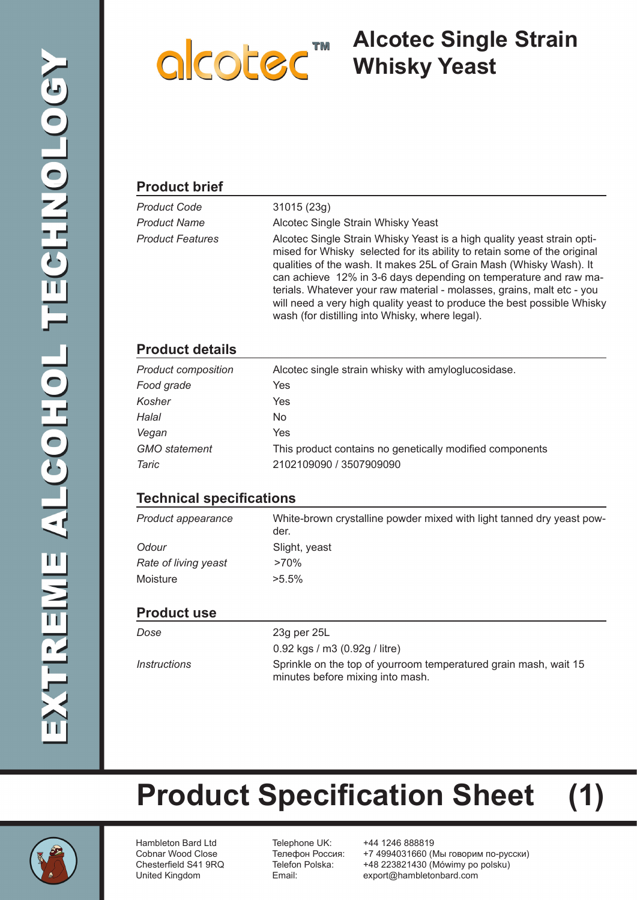

# **Alcotec Single Strain**

#### **Product brief**

| Product Code     | 31015(23q)                                                                                                                                                                                                                                                                                                                                                                                                                                                                                             |
|------------------|--------------------------------------------------------------------------------------------------------------------------------------------------------------------------------------------------------------------------------------------------------------------------------------------------------------------------------------------------------------------------------------------------------------------------------------------------------------------------------------------------------|
| Product Name     | Alcotec Single Strain Whisky Yeast                                                                                                                                                                                                                                                                                                                                                                                                                                                                     |
| Product Features | Alcotec Single Strain Whisky Yeast is a high quality yeast strain opti-<br>mised for Whisky selected for its ability to retain some of the original<br>qualities of the wash. It makes 25L of Grain Mash (Whisky Wash). It<br>can achieve 12% in 3-6 days depending on temperature and raw ma-<br>terials. Whatever your raw material - molasses, grains, malt etc - you<br>will need a very high quality yeast to produce the best possible Whisky<br>wash (for distilling into Whisky, where legal). |

### **Product details**

| <b>Product composition</b> | Alcotec single strain whisky with amyloglucosidase.      |
|----------------------------|----------------------------------------------------------|
| Food grade                 | Yes                                                      |
| Kosher                     | Yes                                                      |
| Halal                      | No.                                                      |
| Vegan                      | Yes                                                      |
| <b>GMO</b> statement       | This product contains no genetically modified components |
| Taric                      | 2102109090 / 3507909090                                  |

### **Technical specifications**

| Product appearance   | White-brown crystalline powder mixed with light tanned dry yeast pow-<br>der. |
|----------------------|-------------------------------------------------------------------------------|
| Odour                | Slight, yeast                                                                 |
| Rate of living yeast | $>70\%$                                                                       |
| Moisture             | $>5.5\%$                                                                      |
|                      |                                                                               |

#### **Product use**

| Dose                              | 23g per 25L                                                                                          |
|-----------------------------------|------------------------------------------------------------------------------------------------------|
|                                   | 0.92 kgs / m3 $(0.92g /$ litre)                                                                      |
| <i><u><b>Instructions</b></u></i> | Sprinkle on the top of yourroom temperatured grain mash, wait 15<br>minutes before mixing into mash. |

**Product Specification Sheet (1)**

Hambleton Bard Ltd Telephone UK: +44 1246 888819

Cobnar Wood Close Телефон Россия: +7 4994031660 (Мы говорим по-русски) Chesterfield S41 9RQ Telefon Polska: +48 223821430 (Mówimy po polsku) United Kingdom Email: export@hambletonbard.com